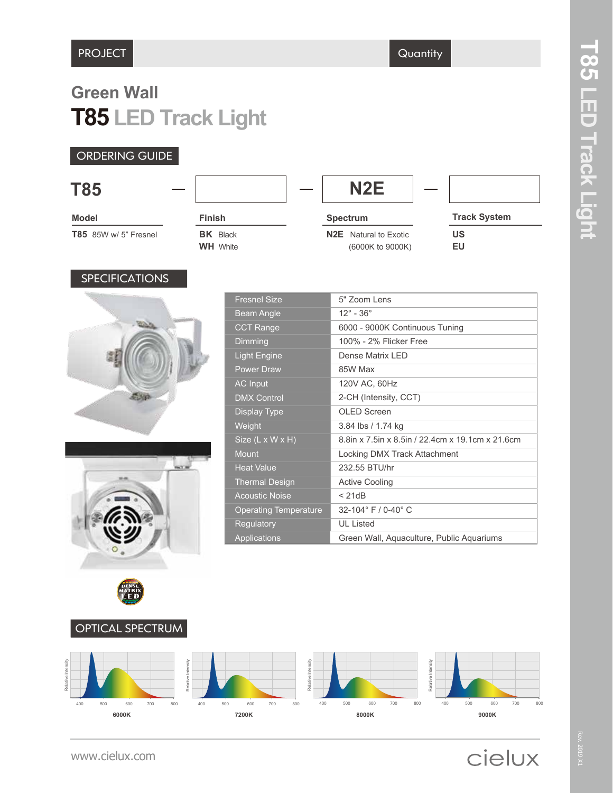## **T85 LED Track Light Green Wall**

#### ORDERING GUIDE

| <b>T85</b>                   |                                    | N <sub>2</sub> E                                 |                     |
|------------------------------|------------------------------------|--------------------------------------------------|---------------------|
| <b>Model</b>                 | <b>Finish</b>                      | <b>Spectrum</b>                                  | <b>Track System</b> |
| <b>T85</b> 85W w/ 5" Fresnel | <b>BK</b> Black<br><b>WH</b> White | <b>N2E</b> Natural to Exotic<br>(6000K to 9000K) | US<br>EU            |

#### **SPECIFICATIONS**





| <b>Fresnel Size</b>          | 5" Zoom Lens                                     |
|------------------------------|--------------------------------------------------|
| <b>Beam Angle</b>            | $12^\circ$ - $36^\circ$                          |
| <b>CCT Range</b>             | 6000 - 9000K Continuous Tuning                   |
| Dimming                      | 100% - 2% Flicker Free                           |
| <b>Light Engine</b>          | Dense Matrix I FD                                |
| <b>Power Draw</b>            | 85W Max                                          |
| <b>AC</b> Input              | 120V AC, 60Hz                                    |
| <b>DMX Control</b>           | 2-CH (Intensity, CCT)                            |
| Display Type                 | OLED Screen                                      |
| Weight                       | 3.84 lbs / 1.74 kg                               |
| Size (L x W x H)             | 8.8in x 7.5in x 8.5in / 22.4cm x 19.1cm x 21.6cm |
| <b>Mount</b>                 | Locking DMX Track Attachment                     |
| <b>Heat Value</b>            | 232.55 BTU/hr                                    |
| <b>Thermal Design</b>        | <b>Active Cooling</b>                            |
| <b>Acoustic Noise</b>        | < 21dB                                           |
| <b>Operating Temperature</b> | $32 - 104$ ° F / 0-40° C                         |
| Regulatory                   | <b>UL Listed</b>                                 |
| Applications                 | Green Wall, Aquaculture, Public Aquariums        |



# cielux